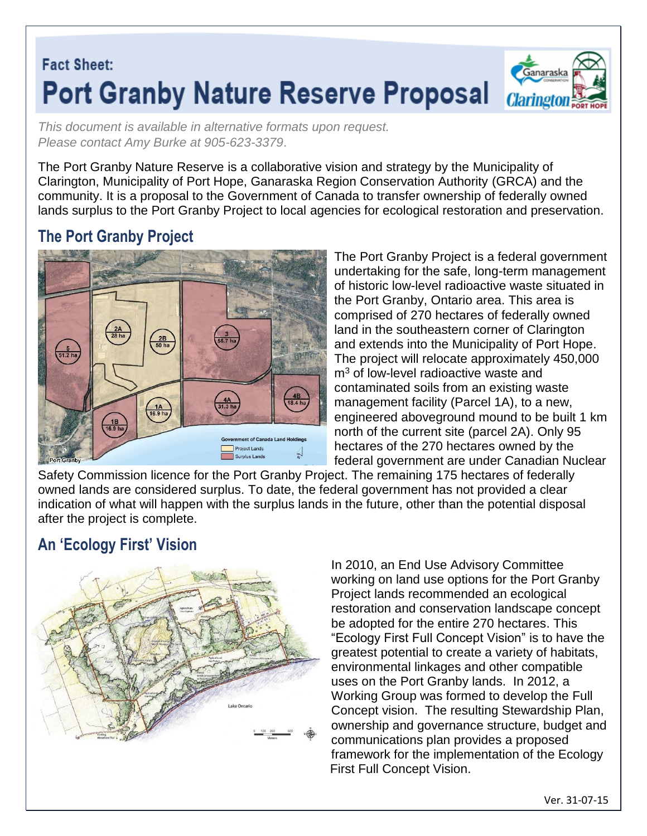# **Fact Sheet: Port Granby Nature Reserve Proposal**



*This document is available in alternative formats upon request. Please contact Amy Burke at 905-623-3379*.

The Port Granby Nature Reserve is a collaborative vision and strategy by the Municipality of Clarington, Municipality of Port Hope, Ganaraska Region Conservation Authority (GRCA) and the community. It is a proposal to the Government of Canada to transfer ownership of federally owned lands surplus to the Port Granby Project to local agencies for ecological restoration and preservation.

# **The Port Granby Project**



The Port Granby Project is a federal government undertaking for the safe, long-term management of historic low-level radioactive waste situated in the Port Granby, Ontario area. This area is comprised of 270 hectares of federally owned land in the southeastern corner of Clarington and extends into the Municipality of Port Hope. The project will relocate approximately 450,000 m<sup>3</sup> of low-level radioactive waste and contaminated soils from an existing waste management facility (Parcel 1A), to a new, engineered aboveground mound to be built 1 km north of the current site (parcel 2A). Only 95 hectares of the 270 hectares owned by the federal government are under Canadian Nuclear

Safety Commission licence for the Port Granby Project. The remaining 175 hectares of federally owned lands are considered surplus. To date, the federal government has not provided a clear indication of what will happen with the surplus lands in the future, other than the potential disposal after the project is complete.

# **An 'Ecology First' Vision**



In 2010, an End Use Advisory Committee working on land use options for the Port Granby Project lands recommended an ecological restoration and conservation landscape concept be adopted for the entire 270 hectares. This "Ecology First Full Concept Vision" is to have the greatest potential to create a variety of habitats, environmental linkages and other compatible uses on the Port Granby lands. In 2012, a Working Group was formed to develop the Full Concept vision. The resulting Stewardship Plan, ownership and governance structure, budget and communications plan provides a proposed framework for the implementation of the Ecology First Full Concept Vision.